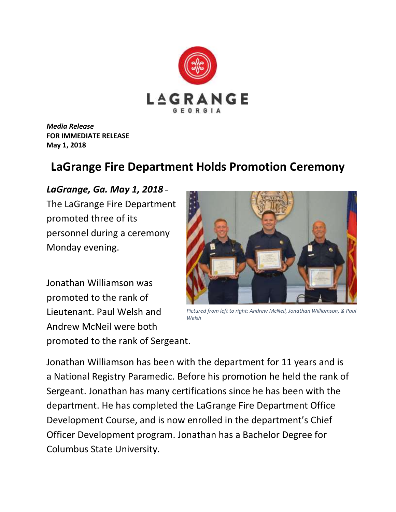

*Media Release* **FOR IMMEDIATE RELEASE May 1, 2018**

## **LaGrange Fire Department Holds Promotion Ceremony**

## *LaGrange, Ga. May 1, 2018* –

The LaGrange Fire Department promoted three of its personnel during a ceremony Monday evening.

Jonathan Williamson was promoted to the rank of Lieutenant. Paul Welsh and Andrew McNeil were both promoted to the rank of Sergeant.



*Pictured from left to right: Andrew McNeil, Jonathan Williamson, & Paul Welsh*

Jonathan Williamson has been with the department for 11 years and is a National Registry Paramedic. Before his promotion he held the rank of Sergeant. Jonathan has many certifications since he has been with the department. He has completed the LaGrange Fire Department Office Development Course, and is now enrolled in the department's Chief Officer Development program. Jonathan has a Bachelor Degree for Columbus State University.